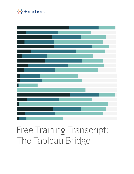

# Free Training Transcript: The Tableau Bridge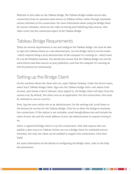Welcome to this video on the Tableau Bridge. The Tableau Bridge enables secure data connections from on-premises data sources to Tableau Online, either through scheduled extract refreshes or live connections. For more information about using the Bridge client for extract refreshes, check out the video on Saving and Publishing Data sources. This video covers the live connection aspect of the Tableau Bridge.

### Tableau Bridge Requirements

There are several requirements to use and configure the Tableau Bridge. You must be able to sign into Tableau Online as a site administrator, run the Bridge client in service mode- -which requires being a local administrator of the computer it's running on--which must be a 64 bit Windows machine. You should also ensure that the Tableau Bridge can use the same drivers and data sources as your publishers, and that the computer it's running on will be powered on continuously.

## Setting up the Bridge Client

On the machine where the client will run, open Tableau Desktop. Under the Server menu, select Start Tableau Bridge Client. Sign into the Tableau Bridge with a site admin level account, and choose a site if relevant. Once signed in, the Bridge client will open from the system tray. By default, the client runs as an application. For live connections, this must be switched to run as a service.

Next, log into your online site as an administrator. On the settings tab, scroll down to the bottom for section for the Tableau Bridge. Click Yes to allow the Bridge to maintain live connections. If this option is not available, email Beta@tableau.com and include the name of your site and the email address of your site administrator to request turning it on.

Select a registered Bridge client to run live connections. Note that anyone who can publish a data source to Tableau Online can run a Bridge client for scheduled extract refreshes, but only one client can be enabled to support live connections. Click Save. Tada!

For more information on the details of configuring the Bridge client, refer to the Help documentation.